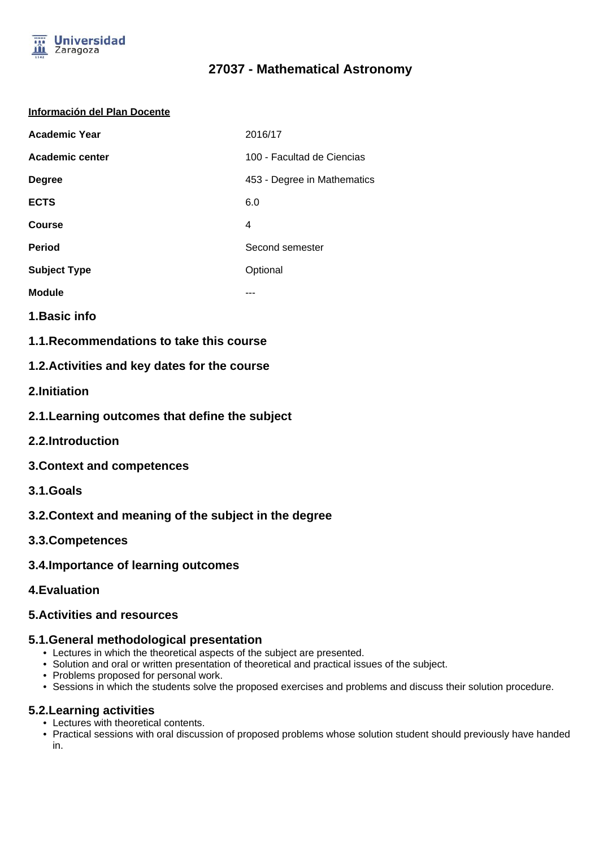

# **27037 - Mathematical Astronomy**

#### **Información del Plan Docente**

| <b>Academic Year</b>   | 2016/17                     |
|------------------------|-----------------------------|
| <b>Academic center</b> | 100 - Facultad de Ciencias  |
| <b>Degree</b>          | 453 - Degree in Mathematics |
| <b>ECTS</b>            | 6.0                         |
| Course                 | 4                           |
| <b>Period</b>          | Second semester             |
| <b>Subject Type</b>    | Optional                    |
| <b>Module</b>          |                             |

- **1.Basic info**
- **1.1.Recommendations to take this course**

### **1.2.Activities and key dates for the course**

- **2.Initiation**
- **2.1.Learning outcomes that define the subject**
- **2.2.Introduction**
- **3.Context and competences**
- **3.1.Goals**
- **3.2.Context and meaning of the subject in the degree**
- **3.3.Competences**
- **3.4.Importance of learning outcomes**
- **4.Evaluation**

#### **5.Activities and resources**

#### **5.1.General methodological presentation**

- Lectures in which the theoretical aspects of the subject are presented.
- Solution and oral or written presentation of theoretical and practical issues of the subject.
- Problems proposed for personal work.
- Sessions in which the students solve the proposed exercises and problems and discuss their solution procedure.

#### **5.2.Learning activities**

- Lectures with theoretical contents.
- Practical sessions with oral discussion of proposed problems whose solution student should previously have handed in.